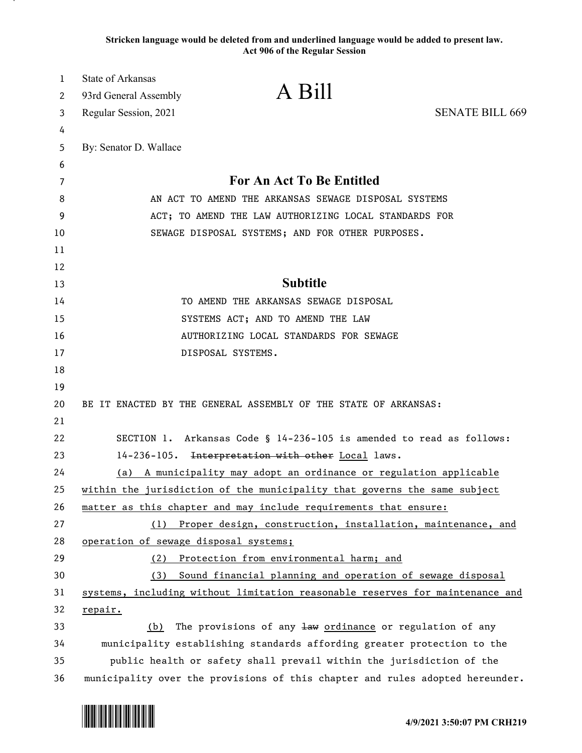**Stricken language would be deleted from and underlined language would be added to present law. Act 906 of the Regular Session**

| 1      | <b>State of Arkansas</b><br>93rd General Assembly                             | A Bill                                                                        |                        |
|--------|-------------------------------------------------------------------------------|-------------------------------------------------------------------------------|------------------------|
| 2<br>3 | Regular Session, 2021                                                         |                                                                               | <b>SENATE BILL 669</b> |
| 4      |                                                                               |                                                                               |                        |
| 5      | By: Senator D. Wallace                                                        |                                                                               |                        |
| 6      |                                                                               |                                                                               |                        |
| 7      | For An Act To Be Entitled                                                     |                                                                               |                        |
| 8      | AN ACT TO AMEND THE ARKANSAS SEWAGE DISPOSAL SYSTEMS                          |                                                                               |                        |
| 9      | ACT; TO AMEND THE LAW AUTHORIZING LOCAL STANDARDS FOR                         |                                                                               |                        |
| 10     | SEWAGE DISPOSAL SYSTEMS; AND FOR OTHER PURPOSES.                              |                                                                               |                        |
| 11     |                                                                               |                                                                               |                        |
| 12     |                                                                               |                                                                               |                        |
| 13     | <b>Subtitle</b>                                                               |                                                                               |                        |
| 14     | TO AMEND THE ARKANSAS SEWAGE DISPOSAL                                         |                                                                               |                        |
| 15     | SYSTEMS ACT; AND TO AMEND THE LAW                                             |                                                                               |                        |
| 16     | AUTHORIZING LOCAL STANDARDS FOR SEWAGE                                        |                                                                               |                        |
| 17     |                                                                               | DISPOSAL SYSTEMS.                                                             |                        |
| 18     |                                                                               |                                                                               |                        |
| 19     |                                                                               |                                                                               |                        |
| 20     | BE IT ENACTED BY THE GENERAL ASSEMBLY OF THE STATE OF ARKANSAS:               |                                                                               |                        |
| 21     |                                                                               |                                                                               |                        |
| 22     | SECTION 1. Arkansas Code § 14-236-105 is amended to read as follows:          |                                                                               |                        |
| 23     | 14-236-105. Interpretation with other Local laws.                             |                                                                               |                        |
| 24     | A municipality may adopt an ordinance or regulation applicable<br>(a)         |                                                                               |                        |
| 25     | within the jurisdiction of the municipality that governs the same subject     |                                                                               |                        |
| 26     | matter as this chapter and may include requirements that ensure:              |                                                                               |                        |
| 27     | Proper design, construction, installation, maintenance, and<br>(1)            |                                                                               |                        |
| 28     | operation of sewage disposal systems;                                         |                                                                               |                        |
| 29     | Protection from environmental harm; and<br>(2)                                |                                                                               |                        |
| 30     | Sound financial planning and operation of sewage disposal<br>(3)              |                                                                               |                        |
| 31     |                                                                               | systems, including without limitation reasonable reserves for maintenance and |                        |
| 32     | repair.                                                                       |                                                                               |                        |
| 33     | (b)                                                                           | The provisions of any law ordinance or regulation of any                      |                        |
| 34     | municipality establishing standards affording greater protection to the       |                                                                               |                        |
| 35     | public health or safety shall prevail within the jurisdiction of the          |                                                                               |                        |
| 36     | municipality over the provisions of this chapter and rules adopted hereunder. |                                                                               |                        |